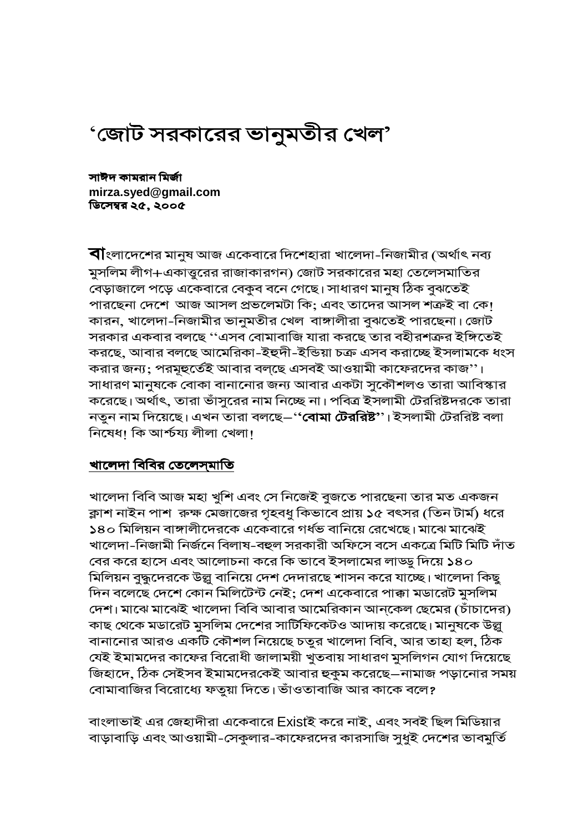# 'জোট সরকারের ভানুমতীর খেল'

সাঈদ কামরান মির্জা mirza.syed@gmail.com ডিসেম্বর ২৫. ২০০৫

**বী**ংলাদেশের মানুষ আজ একেবারে দিশেহারা খালেদা-নিজামীর (অর্থাৎ নব্য মুসলিম লীগ+একাত্তুরের রাজাকারগন) জোট সরকারের মহা তেলেসমাতির বেড়াজালে পড়ে একেবারে বেকুব বনে গেছে। সাধারণ মানুষ ঠিক বুঝতেই পারছেনা দেশে আজ আসল প্রভলেমটা কি; এবং তাদের আসল শত্রুই বা কে! কারন, খালেদা-নিজামীর ভানুমতীর খেল বাঙ্গালীরা বুঝতেই পারছেনা। জোট সরকার একবার বলছে ''এসব বোমাবাজি যারা করছে তার বহীরশত্রুর ইঙ্গিতেই করছে, আবার বলছে আমেরিকা-ইহুদী-ইন্ডিয়া চক্র এসব করাচ্ছে ইসলামকে ধংস করার জন্য; পরমূহুর্তেই আবার বলছে এসবই আওয়ামী কাফেরদের কাজ''। সাধারণ মানুষকে বোকা বানানোর জন্য আবার একটা সুকৌশলও তারা আবিস্কার করেছে। অর্থাৎ, তারা ভাঁসুরের নাম নিচ্ছে না। পবিত্র ইসলামী টেররিষ্টদরকে তারা নতুন নাম দিয়েছে। এখন তারা বলছে–'**'বোমা টেররিষ্ট''**। ইসলামী টেররিষ্ট বলা নিষেধ। কি আৰ্শ্চয্য লীলা খেলা।

## খালেদা বিবির তেলেসমাতি

খালেদা বিবি আজ মহা খুশি এবং সে নিজেই বুজতে পারছেনা তার মত একজন ক্লাশ নাইন পাশ রুক্ষ মেজাজের গৃহবধু কিভাবে প্রায় ১৫ বৎসর (তিন টার্ম) ধরে ১৪০ মিলিয়ন বাঙ্গালীদেরকে একেবারে গর্ধভ বানিয়ে রেখেছে। মাঝে মাঝেই খালেদা-নিজামী নিৰ্জনে বিলাষ-বহুল সরকারী অফিসে বসে একত্রে মিটি মিটি দাঁত বের করে হাসে এবং আলোচনা করে কি ভাবে ইসলামের লাড্ড্র দিয়ে ১৪০ মিলিয়ন বুদ্ধুদেরকে উল্লু বানিয়ে দেশ দেদারছে শাসন করে যাচ্ছে। খালেদা কিছু দিন বলেছে দেশে কোন মিলিটেন্ট নেই; দেশ একেবারে পাক্কা মডারেট মুসলিম দেশ। মাঝে মাঝেই খালেদা বিবি আবার আমেরিকান আন্কেল ছেমের (চাঁচাদের) কাছ থেকে মডারেট মুসলিম দেশের সার্টিফিকেটও আদায় করেছে। মানুষকে উল্ল বানানোর আরও একটি কৌশল নিয়েছে চতুর খালেদা বিবি, আর তাহা হল, ঠিক যেই ইমামদের কাফের বিরোধী জালাময়ী খুতবায় সাধারণ মুসলিগন যোগ দিয়েছে জিহাদে, ঠিক সেইসব ইমামদেরকেই আবার হুকুম করেছে–নামাজ পড়ানোর সময় বোমাবাজির বিরোধ্যে ফতুয়া দিতে। ভাঁওতাবাজি আর কাকে বলে?

বাংলাভাই এর জেহাদীরা একেবারে Existই করে নাই, এবং সবই ছিল মিডিয়ার বাড়াবাড়ি এবং আওয়ামী-সেকুলার-কাফেরদের কারসাজি সুধুই দেশের ভাবমুর্তি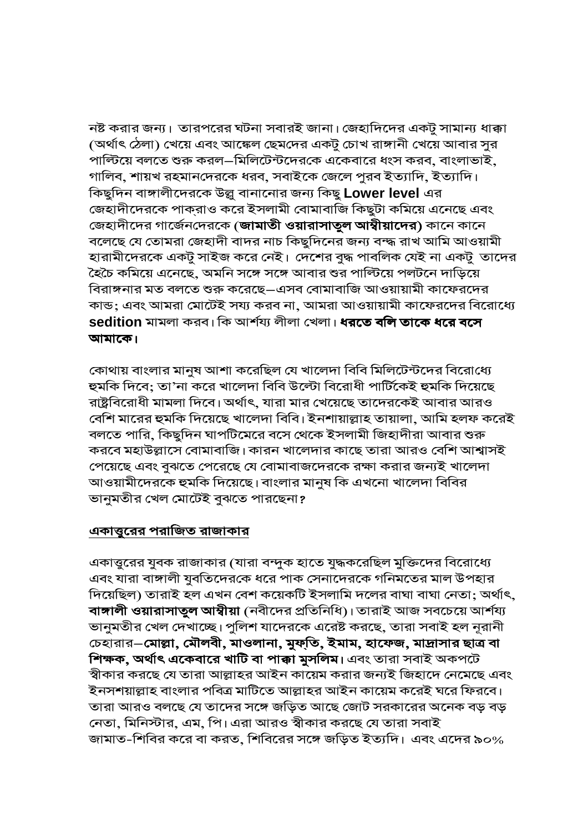নষ্ট করার জন্য। তারপরের ঘটনা সবারই জানা। জেহাদিদের একটু সামান্য ধাক্কা (অর্থাৎ ঠেলা) খেয়ে এবং আঙ্কেল ছেমদের একটু চোখ রাঙ্গানী খেয়ে আবার সুর পাল্টিয়ে বলতে শুরু করল–মিলিটেন্টদেরকে একেবারে ধংস করব, বাংলাভাই, গালিব, শায়খ রহমানদেরকে ধরব, সবাইকে জেলে পুরব ইত্যাদি, ইত্যাদি। কিছুদিন বাঙ্গালীদেরকে উল্লু বানানোর জন্য কিছু Lower level এর জেহাদীদেরকে পাক্রাও করে ইসলামী বোমাবাজি কিছুটা কমিয়ে এনেছে এবং জেহাদীদের গার্জেনদেরকে (**জামাতী ওয়ারাসাতুল আম্বীয়াদের)** কানে কানে বলেছে যে তোমরা জেহাদী বাদর নাচ কিছুদিনের জন্য বন্দ্ধ রাখ আমি আওয়ামী হারামীদেরকে একটু সাইজ করে নেই। দেশের বুদ্ধ পাবলিক যেই না একটু তাদের হৈচৈ কমিয়ে এনেছে, অমনি সঙ্গে সঙ্গে আবার শুর পাল্টিয়ে পলটনে দাড়িয়ে বিরাঙ্গনার মত বলতে শুরু করেছে—এসব বোমাবাজি আওয়ায়ামী কাফেরদের কান্ড; এবং আমরা মোটেই সয্য করব না, আমরা আওয়ায়ামী কাফেরদের বিরোধ্যে **sedition** মামলা করব। কি আর্শয্য লীলা খেলা। ধরতে বলি তাকে ধরে বসে। আমাকে।

কোথায় বাংলার মানুষ আশা করেছিল যে খালেদা বিবি মিলিটেন্টদের বিরোধ্যে হুমকি দিবে; তা'না করে খালেদা বিবি উল্টো বিরোধী পার্টিকেই হুমকি দিয়েছে রাষ্ট্রবিরোধী মামলা দিবে। অর্থাৎ, যারা মার খেয়েছে তাদেরকেই আবার আরও বেশি মারের হুমকি দিয়েছে খালেদা বিবি। ইনশায়াল্লাহ তায়ালা, আমি হলফ করেই বলতে পারি, কিছুদিন ঘাপটিমেরে বসে থেকে ইসলামী জিহাদীরা আবার শুরু করবে মহাউল্লাসে বোমাবাজি। কারন খালেদার কাছে তারা আরও বেশি আশ্বাসই পেয়েছে এবং বুঝতে পেরেছে যে বোমাবাজদেরকে রক্ষা করার জন্যই খালেদা আওয়ামীদেরকে হুমকি দিয়েছে। বাংলার মানুষ কি এখনো খালেদা বিবির ভানুমতীর খেল মোটেই বুঝতে পারছেনা?

## একাত্তুরের পরাজিত রাজাকার

একাত্তুরের যুবক রাজাকার (যারা বন্দুক হাতে যুদ্ধকরেছিল মুক্তিদের বিরোধ্যে এবং যারা বাঙ্গালী যুবতিদেরকে ধরে পাক সেনাদেরকে গনিমতের মাল উপহার দিয়েছিল) তারাই হল এখন বেশ কয়েকটি ইসলামি দলের বাঘা বাঘা নেতা; অর্থাৎ, বাঙ্গালী ওয়ারাসাতুল আম্বীয়া (নবীদের প্রতিনিধি)। তারাই আজ সবচেয়ে আর্শয্য ভানুমতীর খেল দেখাচ্ছে। পুলিশ যাদেরকে এরেষ্ট করছে, তারা সবাই হল নূরানী চেহারার–মোল্লা, মৌলবী, মাওলানা, মুফ্তি, ইমাম, হাফেজ, মাদ্রাসার ছাত্র বা শিক্ষক, অৰ্থাৎ একেবারে খাটি বা পাক্কা মুসলিম। এবং তারা সবাই অকপটে স্বীকার করছে যে তারা আল্লাহর আইন কায়েম করার জন্যই জিহাদে নেমেছে এবং ইনসশয়াল্লাহ বাংলার পবিত্র মাটিতে আল্লাহর আইন কায়েম করেই ঘরে ফিরবে। তারা আরও বলছে যে তাদের সঙ্গে জড়িত আছে জোট সরকারের অনেক বড় বড় নেতা, মিনিস্টার, এম, পি। এরা আরও স্বীকার করছে যে তারা সবাই জামাত-শিবির করে বা করত, শিবিরের সঙ্গে জড়িত ইত্যদি। এবং এদের ৯০%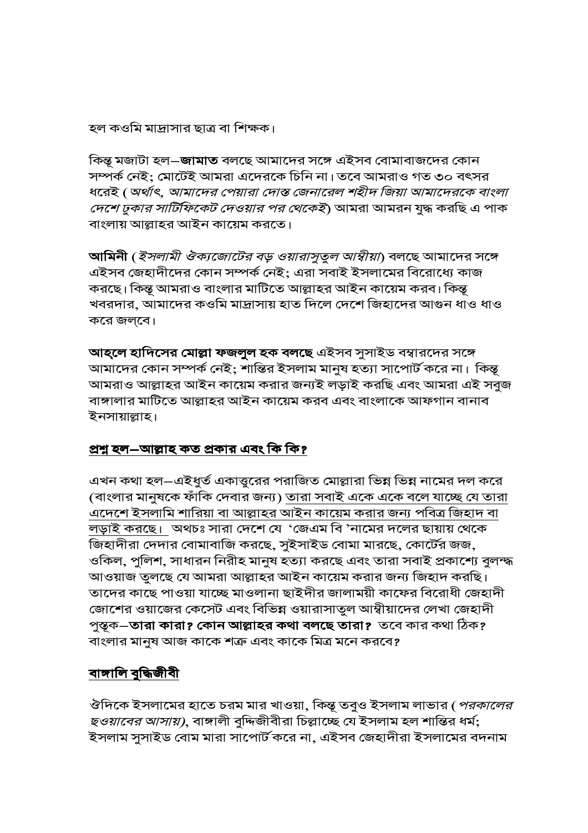হল কওমি মাদ্রাসার ছাত্র বা শিক্ষক।

কিন্তু মজাটা হল–**জামাত** বলছে আমাদের সঙ্গে এইসব বোমাবাজদের কোন সম্পর্ক নেই; মোটেই আমরা এদেরকে চিনি না। তবে আমরাও গত ৩০ বৎসর ধরেই ( অর্থাৎ, আমাদের পেয়ারা দোস্ত জেনারেল শহীদ জিয়া আমাদেরকে বাংলা *দেশে ঢুকার সার্টিফিকেট দেওয়ার পর থেকেই*) আমরা আমরন যুদ্ধ করছি এ পাক বাংলায় আল্লাহর আইন কায়েম করতে।

আমিনী (*ইসলামী ঔক্যজোটের বড় ওয়ারাসুতুল আম্বীয়া*) বলছে আমাদের সঙ্গে এইসব জেহাদীদের কোন সম্পর্ক নেই; এরা সবাই ইসলামের বিরোধ্যে কাজ করছে। কিন্তু আমরাও বাংলার মাটিতে আল্লাহর আইন কায়েম করব। কিন্তু খবরদার, আমাদের কওমি মাদ্রাসায় হাত দিলে দেশে জিহাদের আগুন ধাও ধাও করে জল্বে।

আহ্লে হাদিসের মোল্লা ফজলুল হক বলছে এইসব সুসাইড বম্বারদের সঙ্গে আমাদের কোন সম্পর্ক নেই; শান্তির ইসলাম মানুষ হত্যা সাপোর্ট করে না। কিন্তূ আমরাও আল্লাহর আইন কায়েম করার জন্যই লড়াই করছি এবং আমরা এই সবুজ বাঙ্গালার মাটিতে আল্লাহর আইন কায়েম করব এবং বাংলাকে আফগান বানাব ইনসায়াল্লাহ।

## প্রশ্ন হল–আল্লাহ কত প্রকার এবং কি কি?

এখন কথা হল–এইধুর্ত একাত্তুরের পরাজিত মোল্লারা ভিন্ন ভিন্ন নামের দল করে (বাংলার মানুষকে ফাঁকি দেবার জন্য) <u>তারা সবাই একে একে বলে যাচ্ছে যে তারা</u> <u>এদেশে ইসলামি শারিয়া বা আল্লাহর আইন কায়েম করার জন্য পবিত্র জিহাদ বা</u> লড়াই করছে। অথচঃ সারা দেশে যে 'জেএম বি 'নামের দলের ছায়ায় থেকে জিহাদীরা দেদার বোমাবাজি করছে, সুইসাইড বোমা মারছে, কোর্টের জজ, ওকিল, পুলিশ, সাধারন নিরীহ মানুষ হত্যা করছে এবং তারা সবাই প্রকাশ্যে বুলম্দ্ধ আওয়াজ তুলছে যে আমরা আল্লাহর আইন কায়েম করার জন্য জিহাদ করছি। তাদের কাছে পাওয়া যাচ্ছে মাওলানা ছাইদীর জালাময়ী কাফের বিরোধী জেহাদী জোশের ওয়াজের কেসেট এবং বিভিন্ন ওয়ারাসাতুল আম্বীয়াদের লেখা জেহাদী পুস্তৃক—**তারা কারা? কোন আল্লাহর কথা বলছে তারা?** তবে কার কথা ঠিক**?** বাংলার মানুষ আজ কাকে শত্রু এবং কাকে মিত্র মনে করবে?

# <u>বাঙ্গালি বুদ্ধিজীবী</u>

ঔদিকে ইসলামের হাতে চরম মার খাওয়া, কিন্তূ তবুও ইসলাম লাভার (*পরকালের* ছ*ওয়াবের আসায়)*, বাঙ্গালী বুদ্দিজীবীরা চিল্লাচ্ছে যে ইসলাম হল শান্তির ধর্ম; ইসলাম সুসাইড বোম মারা সাপোর্ট করে না, এইসব জেহাদীরা ইসলামের বদনাম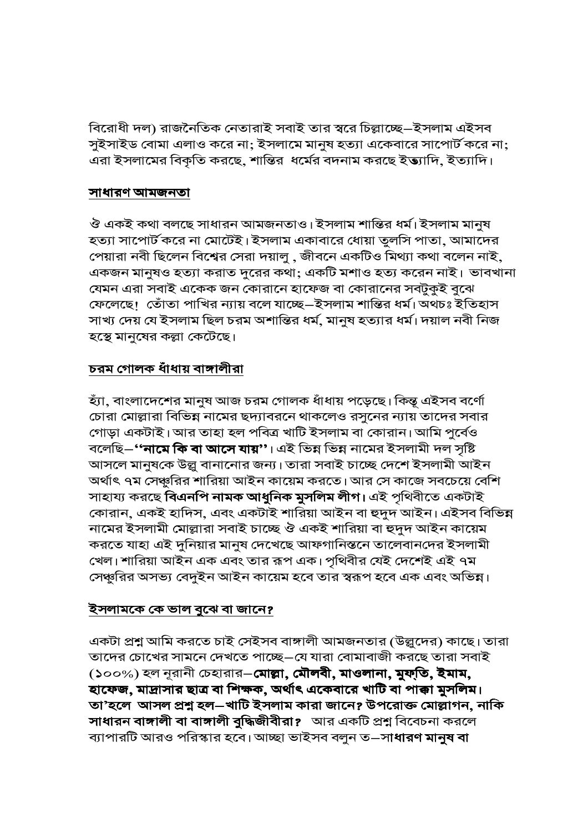বিরোধী দল) রাজনৈতিক নেতারাই সবাই তার স্বরে চিল্লাচ্ছে–ইসলাম এইসব সুইসাইড বোমা এলাও করে না; ইসলামে মানুষ হত্যা একেবারে সাপোর্ট করে না; এরা ইসলামের বিকৃতি করছে, শান্তির ধর্মের বদনাম করছে ইত্যাদি, ইত্যাদি।

## <u>সাধারণ আমজনতা</u>

ঔ একই কথা বলছে সাধারন আমজনতাও। ইসলাম শান্তির ধর্ম। ইসলাম মানুষ হত্যা সাপোর্ট করে না মোটেই। ইসলাম একাবারে ধোয়া তুলসি পাতা, আমাদের পেয়ারা নবী ছিলেন বিশ্বের সেরা দয়ালু , জীবনে একটিও মিথ্যা কথা বলেন নাই, একজন মানুষও হত্যা করাত দুরের কথা; একটি মশাও হত্য করেন নাই। ভাবখানা যেমন এরা সবাই একেক জন কোরানে হাফেজ বা কোরানের সবটুকুই বুঝে ফেলেছে। তোঁতা পাখির ন্যায় বলে যাচ্ছে–ইসলাম শান্তির ধর্ম।অথচঃ ইতিহাস সাখ্য দেয় যে ইসলাম ছিল চরম অশান্তির ধর্ম, মানুষ হত্যার ধর্ম। দয়াল নবী নিজ হস্থে মানুষের কল্লা কেটেছে।

## <u>চরম গোলক ধাঁধায় বাঙ্গালীরা</u>

হ্যা, বাংলাদেশের মানুষ আজ চরম গোলক ধাঁধায় পড়েছে। কিন্তু এইসব বর্ণো চোরা মোল্লারা বিভিন্ন নামের ছদ্যাবরনে থাকলেও রসুনের ন্যায় তাদের সবার গোড়া একটাই।আর তাহা হল পবিত্র খাটি ইসলাম বা কোরান।আমি পুর্বেও বলেছি–**''নামে কি বা আসে যায়''**। এই ভিন্ন ভিন্ন নামের ইসলামী দল সৃষ্টি আসলে মানুষকে উল্লু বানানোর জন্য। তারা সবাই চাচ্ছে দেশে ইসলামী আইন অর্থাৎ ৭ম সেঞ্চুরির শারিয়া আইন কায়েম করতে। আর সে কাজে সবচেয়ে বেশি সাহায্য করছে বিএনপি নামক আধুনিক মুসলিম লীগ। এই পৃথিবীতে একটাই কোরান, একই হাদিস, এবং একটাই শারিয়া আইন বা হুদুদ আইন। এইসব বিভিন্ন নামের ইসলামী মোল্লারা সবাই চাচ্ছে ঔ একই শারিয়া বা হুদুদ আইন কায়েম করতে যাহা এই দুনিয়ার মানুষ দেখেছে আফগানিস্তনে তালেবানদের ইসলামী খেল। শারিয়া আইন এক এবং তার রূপ এক। পৃথিবীর যেই দেশেই এই ৭ম সেঞ্চুরির অসভ্য বেদুইন আইন কায়েম হবে তার স্বরূপ হবে এক এবং অভিন্ন।

## <u>ইসলামকে কে ভাল বুঝে বা জানে?</u>

একটা প্রশ্ন আমি করতে চাই সেইসব বাঙ্গালী আমজনতার (উল্লুদের) কাছে। তারা তাদের চোখের সামনে দেখতে পাচ্ছে–যে যারা বোমাবাজী করছে তারা সবাই (১০০%) হল নুরানী চেহারার–মোল্লা, মৌলবী, মাওলানা, মুফ্তি, ইমাম, হাফেজ, মাদ্রাসার ছাত্র বা শিক্ষক, অর্থাৎ একেবারে খাটি বা পাক্কা মুসলিম। তা'হলে আসল প্রশ্ন হল–খাটি ইসলাম কারা জানে? উপরোক্ত মোল্লাগন, নাকি সাধারন বাঙ্গালী বা বাঙ্গালী বুদ্ধিজীবীরা? আর একটি প্রশ্ন বিবেচনা করলে ব্যাপারটি আরও পরিস্কার হবে। আচ্ছা ভাইসব বলুন ত—সা**ধারণ মানুষ বা**